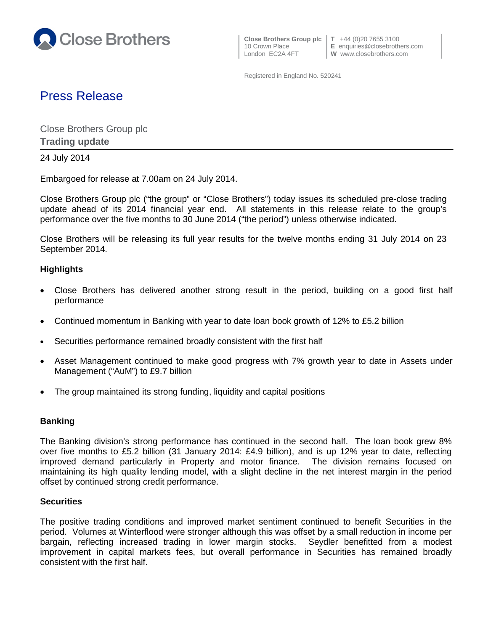

**Close Brothers Group plc**  $\begin{bmatrix} T & +44 & (0)20 & 7655 & 3100 \\ \text{E} & \text{equities} & \text{E} \end{bmatrix}$ 10 Crown Place **E** enquiries@closebrothers.com<br>
London EC2A 4FT **W** www.closebrothers.com

**W** www.closebrothers.com

Registered in England No. 520241

# Press Release

Close Brothers Group plc **Trading update**

24 July 2014

Embargoed for release at 7.00am on 24 July 2014.

Close Brothers Group plc ("the group" or "Close Brothers") today issues its scheduled pre-close trading update ahead of its 2014 financial year end. All statements in this release relate to the group's performance over the five months to 30 June 2014 ("the period") unless otherwise indicated.

Close Brothers will be releasing its full year results for the twelve months ending 31 July 2014 on 23 September 2014.

## **Highlights**

- Close Brothers has delivered another strong result in the period, building on a good first half performance
- Continued momentum in Banking with year to date loan book growth of 12% to £5.2 billion
- Securities performance remained broadly consistent with the first half
- Asset Management continued to make good progress with 7% growth year to date in Assets under Management ("AuM") to £9.7 billion
- The group maintained its strong funding, liquidity and capital positions

## **Banking**

The Banking division's strong performance has continued in the second half. The loan book grew 8% over five months to £5.2 billion (31 January 2014: £4.9 billion), and is up 12% year to date, reflecting improved demand particularly in Property and motor finance. The division remains focused on maintaining its high quality lending model, with a slight decline in the net interest margin in the period offset by continued strong credit performance.

### **Securities**

The positive trading conditions and improved market sentiment continued to benefit Securities in the period. Volumes at Winterflood were stronger although this was offset by a small reduction in income per bargain, reflecting increased trading in lower margin stocks. Seydler benefitted from a modest improvement in capital markets fees, but overall performance in Securities has remained broadly consistent with the first half.